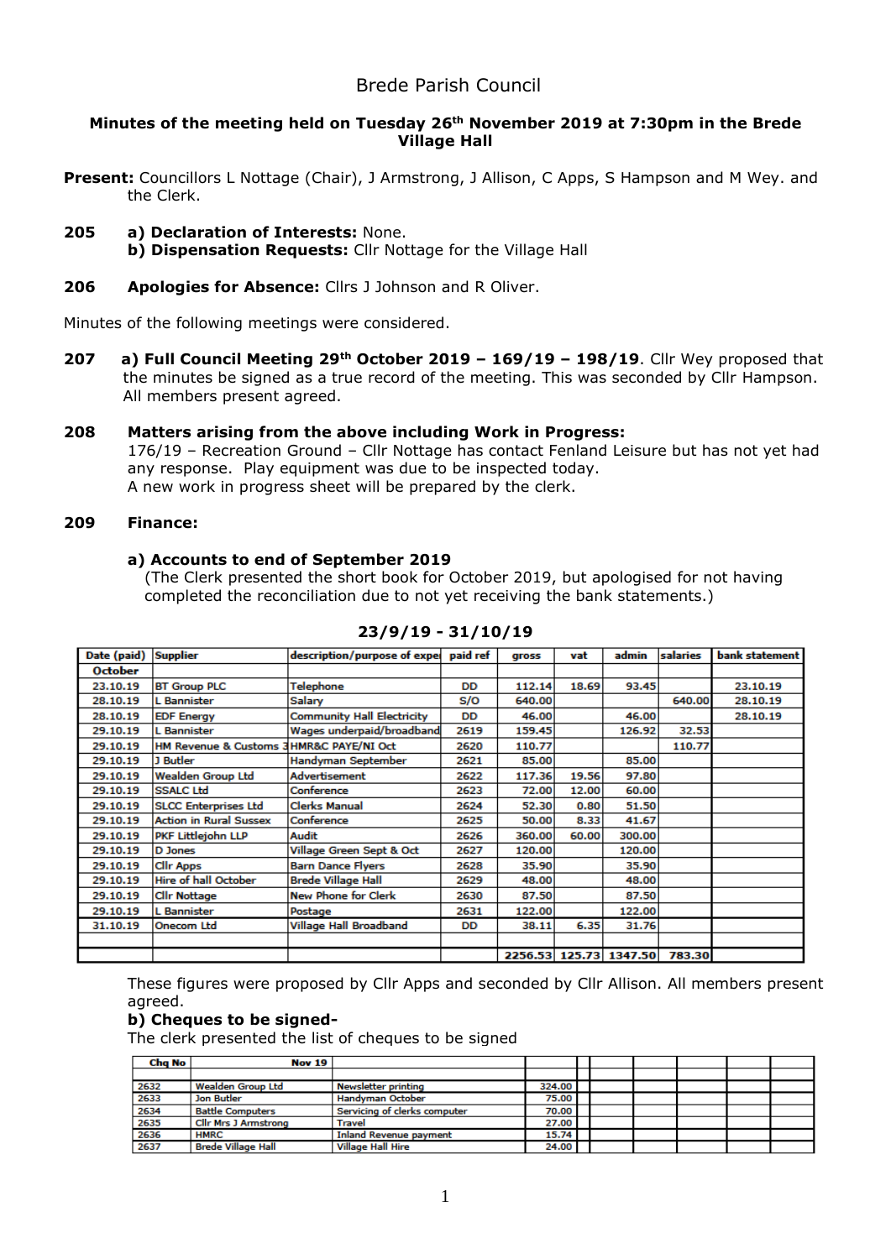# **Minutes of the meeting held on Tuesday 26th November 2019 at 7:30pm in the Brede Village Hall**

Present: Councillors L Nottage (Chair), J Armstrong, J Allison, C Apps, S Hampson and M Wey. and the Clerk.

**205 a) Declaration of Interests:** None.

**b) Dispensation Requests:** Cllr Nottage for the Village Hall

# **206 Apologies for Absence:** Cllrs J Johnson and R Oliver.

Minutes of the following meetings were considered.

**207 a) Full Council Meeting 29th October 2019 – 169/19 – 198/19**. Cllr Wey proposed that the minutes be signed as a true record of the meeting. This was seconded by Cllr Hampson. All members present agreed.

### **208 Matters arising from the above including Work in Progress:**

176/19 – Recreation Ground – Cllr Nottage has contact Fenland Leisure but has not yet had any response. Play equipment was due to be inspected today. A new work in progress sheet will be prepared by the clerk.

#### **209 Finance:**

#### **a) Accounts to end of September 2019**

(The Clerk presented the short book for October 2019, but apologised for not having completed the reconciliation due to not yet receiving the bank statements.)

| Date (paid)    | <b>Supplier</b>                         | description/purpose of expec paid ref |           | gross  | vat   | admin                  | salaries | bank statement |
|----------------|-----------------------------------------|---------------------------------------|-----------|--------|-------|------------------------|----------|----------------|
| <b>October</b> |                                         |                                       |           |        |       |                        |          |                |
| 23.10.19       | <b>BT Group PLC</b>                     | Telephone                             | DD        | 112.14 | 18.69 | 93.45                  |          | 23.10.19       |
| 28.10.19       | L Bannister                             | Salary                                | S/O       | 640.00 |       |                        | 640.00   | 28.10.19       |
| 28.10.19       | <b>EDF Energy</b>                       | <b>Community Hall Electricity</b>     | <b>DD</b> | 46.00  |       | 46.00                  |          | 28.10.19       |
| 29.10.19       | L Bannister                             | Wages underpaid/broadband             | 2619      | 159.45 |       | 126.92                 | 32.53    |                |
| 29.10.19       | HM Revenue & Customs 3HMR&C PAYE/NI Oct |                                       | 2620      | 110.77 |       |                        | 110.77   |                |
| 29.10.19       | J Butler                                | Handyman September                    | 2621      | 85.00  |       | 85.00                  |          |                |
| 29.10.19       | <b>Wealden Group Ltd</b>                | Advertisement                         | 2622      | 117.36 | 19.56 | 97.80                  |          |                |
| 29.10.19       | <b>SSALC Ltd</b>                        | Conference                            | 2623      | 72.00  | 12.00 | 60.00                  |          |                |
| 29.10.19       | <b>SLCC Enterprises Ltd</b>             | <b>Clerks Manual</b>                  | 2624      | 52.30  | 0.80  | 51.50                  |          |                |
| 29.10.19       | <b>Action in Rural Sussex</b>           | Conference                            | 2625      | 50.00  | 8.33  | 41.67                  |          |                |
| 29.10.19       | PKF Littlejohn LLP                      | Audit                                 | 2626      | 360.00 | 60.00 | 300.00                 |          |                |
| 29.10.19       | <b>D</b> Jones                          | Village Green Sept & Oct              | 2627      | 120.00 |       | 120.00                 |          |                |
| 29.10.19       | <b>Clir Apps</b>                        | <b>Barn Dance Flyers</b>              | 2628      | 35.90  |       | 35.90                  |          |                |
| 29.10.19       | Hire of hall October                    | <b>Brede Village Hall</b>             | 2629      | 48.00  |       | 48.00                  |          |                |
| 29.10.19       | <b>Clir Nottage</b>                     | New Phone for Clerk                   | 2630      | 87.50  |       | 87.50                  |          |                |
| 29.10.19       | L Bannister                             | Postage                               | 2631      | 122.00 |       | 122.00                 |          |                |
| 31.10.19       | <b>Onecom Ltd</b>                       | Village Hall Broadband                | DD        | 38.11  | 6.35  | 31.76                  |          |                |
|                |                                         |                                       |           |        |       |                        |          |                |
|                |                                         |                                       |           |        |       | 2256.53 125.73 1347.50 | 783.30   |                |

### **23/9/19 - 31/10/19**

These figures were proposed by Cllr Apps and seconded by Cllr Allison. All members present agreed.

### **b) Cheques to be signed-**

The clerk presented the list of cheques to be signed

| Cha No | <b>Nov 19</b>               |                              |        |  |  |  |
|--------|-----------------------------|------------------------------|--------|--|--|--|
|        |                             |                              |        |  |  |  |
| 2632   | <b>Wealden Group Ltd</b>    | Newsletter printing          | 324.00 |  |  |  |
| 2633   | Jon Butler                  | Handyman October             | 75.00  |  |  |  |
| 2634   | <b>Battle Computers</b>     | Servicing of clerks computer | 70.00  |  |  |  |
| 2635   | <b>Cllr Mrs J Armstrong</b> | Travel                       | 27.00  |  |  |  |
| 2636   | <b>HMRC</b>                 | Inland Revenue payment       | 15.74  |  |  |  |
| 2637   | <b>Brede Village Hall</b>   | <b>Village Hall Hire</b>     | 24.00  |  |  |  |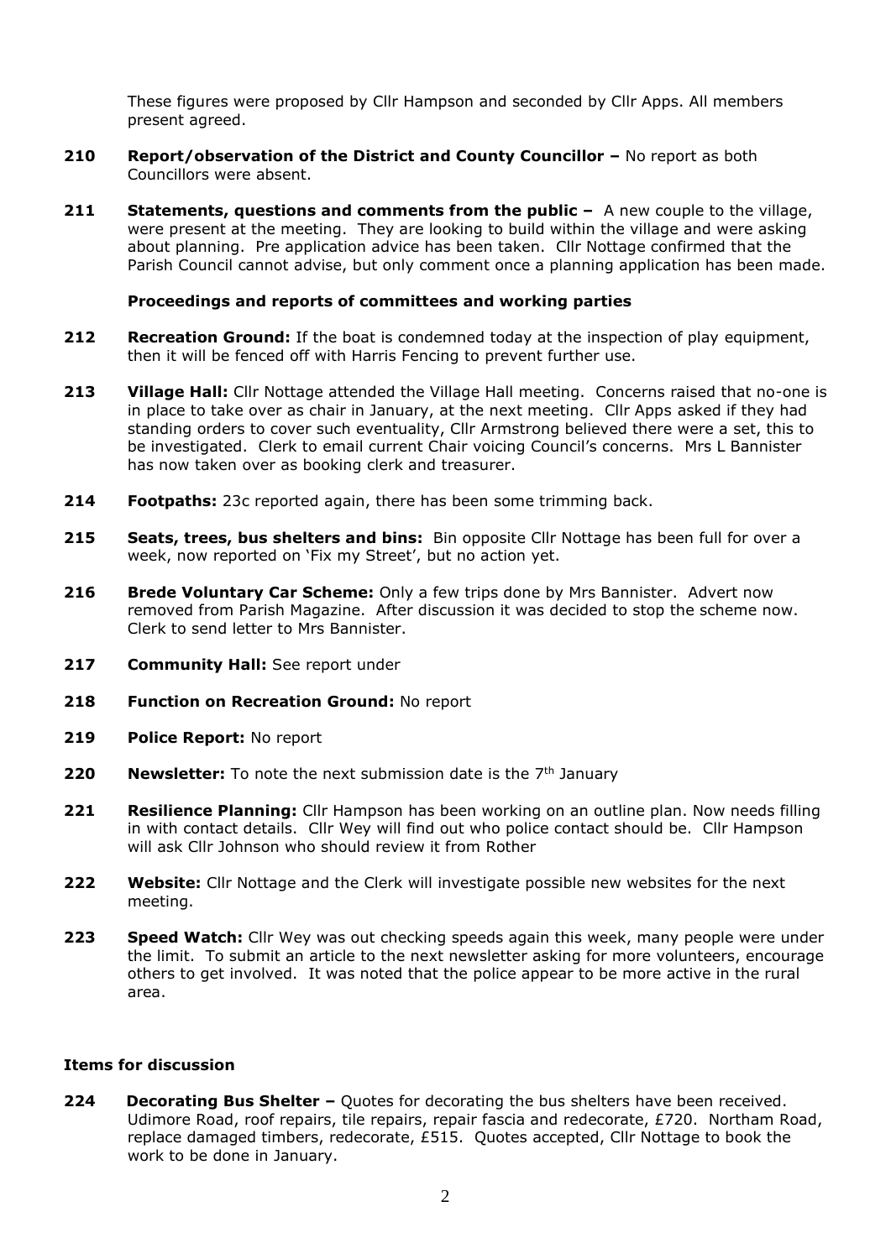These figures were proposed by Cllr Hampson and seconded by Cllr Apps. All members present agreed.

- **210 Report/observation of the District and County Councillor –** No report as both Councillors were absent.
- **211** Statements, questions and comments from the public A new couple to the village, were present at the meeting. They are looking to build within the village and were asking about planning. Pre application advice has been taken. Cllr Nottage confirmed that the Parish Council cannot advise, but only comment once a planning application has been made.

### **Proceedings and reports of committees and working parties**

- **212 Recreation Ground:** If the boat is condemned today at the inspection of play equipment, then it will be fenced off with Harris Fencing to prevent further use.
- **213 Village Hall:** Cllr Nottage attended the Village Hall meeting. Concerns raised that no-one is in place to take over as chair in January, at the next meeting. Cllr Apps asked if they had standing orders to cover such eventuality, Cllr Armstrong believed there were a set, this to be investigated. Clerk to email current Chair voicing Council's concerns. Mrs L Bannister has now taken over as booking clerk and treasurer.
- **214 Footpaths:** 23c reported again, there has been some trimming back.
- **215 Seats, trees, bus shelters and bins:** Bin opposite Cllr Nottage has been full for over a week, now reported on 'Fix my Street', but no action yet.
- **216 Brede Voluntary Car Scheme:** Only a few trips done by Mrs Bannister. Advert now removed from Parish Magazine. After discussion it was decided to stop the scheme now. Clerk to send letter to Mrs Bannister.
- **217 Community Hall:** See report under
- **218 Function on Recreation Ground:** No report
- **219 Police Report:** No report
- **220 Newsletter:** To note the next submission date is the 7<sup>th</sup> January
- **221 Resilience Planning:** Cllr Hampson has been working on an outline plan. Now needs filling in with contact details. Cllr Wey will find out who police contact should be. Cllr Hampson will ask Cllr Johnson who should review it from Rother
- **222 Website:** Cllr Nottage and the Clerk will investigate possible new websites for the next meeting.
- **223 Speed Watch:** Cllr Wey was out checking speeds again this week, many people were under the limit. To submit an article to the next newsletter asking for more volunteers, encourage others to get involved. It was noted that the police appear to be more active in the rural area.

#### **Items for discussion**

**224 Decorating Bus Shelter** – Quotes for decorating the bus shelters have been received. Udimore Road, roof repairs, tile repairs, repair fascia and redecorate, £720. Northam Road, replace damaged timbers, redecorate, £515. Quotes accepted, Cllr Nottage to book the work to be done in January.